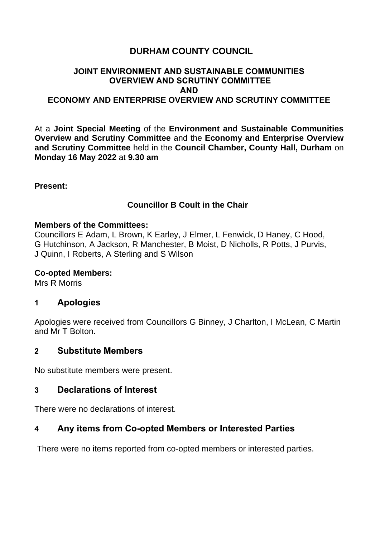# **DURHAM COUNTY COUNCIL**

## **JOINT ENVIRONMENT AND SUSTAINABLE COMMUNITIES OVERVIEW AND SCRUTINY COMMITTEE AND ECONOMY AND ENTERPRISE OVERVIEW AND SCRUTINY COMMITTEE**

At a **Joint Special Meeting** of the **Environment and Sustainable Communities Overview and Scrutiny Committee** and the **Economy and Enterprise Overview and Scrutiny Committee** held in the **Council Chamber, County Hall, Durham** on **Monday 16 May 2022** at **9.30 am**

**Present:**

## **Councillor B Coult in the Chair**

#### **Members of the Committees:**

Councillors E Adam, L Brown, K Earley, J Elmer, L Fenwick, D Haney, C Hood, G Hutchinson, A Jackson, R Manchester, B Moist, D Nicholls, R Potts, J Purvis, J Quinn, I Roberts, A Sterling and S Wilson

#### **Co-opted Members:**

Mrs R Morris

## **1 Apologies**

Apologies were received from Councillors G Binney, J Charlton, I McLean, C Martin and Mr T Bolton.

#### **2 Substitute Members**

No substitute members were present.

## **3 Declarations of Interest**

There were no declarations of interest.

## **4 Any items from Co-opted Members or Interested Parties**

There were no items reported from co-opted members or interested parties.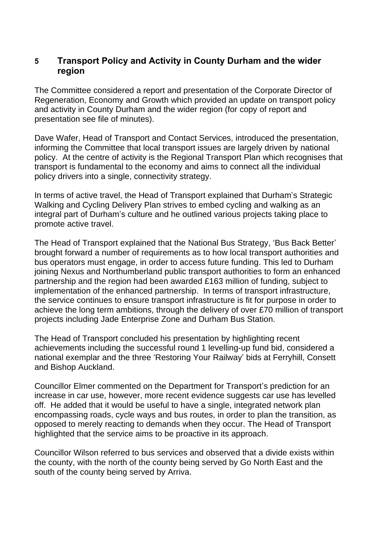## **5 Transport Policy and Activity in County Durham and the wider region**

The Committee considered a report and presentation of the Corporate Director of Regeneration, Economy and Growth which provided an update on transport policy and activity in County Durham and the wider region (for copy of report and presentation see file of minutes).

Dave Wafer, Head of Transport and Contact Services, introduced the presentation, informing the Committee that local transport issues are largely driven by national policy. At the centre of activity is the Regional Transport Plan which recognises that transport is fundamental to the economy and aims to connect all the individual policy drivers into a single, connectivity strategy.

In terms of active travel, the Head of Transport explained that Durham's Strategic Walking and Cycling Delivery Plan strives to embed cycling and walking as an integral part of Durham's culture and he outlined various projects taking place to promote active travel.

The Head of Transport explained that the National Bus Strategy, 'Bus Back Better' brought forward a number of requirements as to how local transport authorities and bus operators must engage, in order to access future funding. This led to Durham joining Nexus and Northumberland public transport authorities to form an enhanced partnership and the region had been awarded £163 million of funding, subject to implementation of the enhanced partnership. In terms of transport infrastructure, the service continues to ensure transport infrastructure is fit for purpose in order to achieve the long term ambitions, through the delivery of over £70 million of transport projects including Jade Enterprise Zone and Durham Bus Station.

The Head of Transport concluded his presentation by highlighting recent achievements including the successful round 1 levelling-up fund bid, considered a national exemplar and the three 'Restoring Your Railway' bids at Ferryhill, Consett and Bishop Auckland.

Councillor Elmer commented on the Department for Transport's prediction for an increase in car use, however, more recent evidence suggests car use has levelled off. He added that it would be useful to have a single, integrated network plan encompassing roads, cycle ways and bus routes, in order to plan the transition, as opposed to merely reacting to demands when they occur. The Head of Transport highlighted that the service aims to be proactive in its approach.

Councillor Wilson referred to bus services and observed that a divide exists within the county, with the north of the county being served by Go North East and the south of the county being served by Arriva.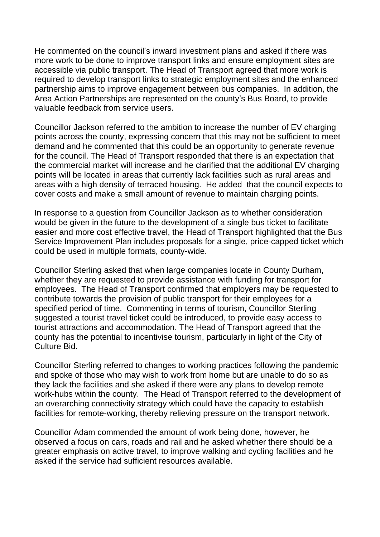He commented on the council's inward investment plans and asked if there was more work to be done to improve transport links and ensure employment sites are accessible via public transport. The Head of Transport agreed that more work is required to develop transport links to strategic employment sites and the enhanced partnership aims to improve engagement between bus companies. In addition, the Area Action Partnerships are represented on the county's Bus Board, to provide valuable feedback from service users.

Councillor Jackson referred to the ambition to increase the number of EV charging points across the county, expressing concern that this may not be sufficient to meet demand and he commented that this could be an opportunity to generate revenue for the council. The Head of Transport responded that there is an expectation that the commercial market will increase and he clarified that the additional EV charging points will be located in areas that currently lack facilities such as rural areas and areas with a high density of terraced housing. He added that the council expects to cover costs and make a small amount of revenue to maintain charging points.

In response to a question from Councillor Jackson as to whether consideration would be given in the future to the development of a single bus ticket to facilitate easier and more cost effective travel, the Head of Transport highlighted that the Bus Service Improvement Plan includes proposals for a single, price-capped ticket which could be used in multiple formats, county-wide.

Councillor Sterling asked that when large companies locate in County Durham, whether they are requested to provide assistance with funding for transport for employees. The Head of Transport confirmed that employers may be requested to contribute towards the provision of public transport for their employees for a specified period of time. Commenting in terms of tourism, Councillor Sterling suggested a tourist travel ticket could be introduced, to provide easy access to tourist attractions and accommodation. The Head of Transport agreed that the county has the potential to incentivise tourism, particularly in light of the City of Culture Bid.

Councillor Sterling referred to changes to working practices following the pandemic and spoke of those who may wish to work from home but are unable to do so as they lack the facilities and she asked if there were any plans to develop remote work-hubs within the county. The Head of Transport referred to the development of an overarching connectivity strategy which could have the capacity to establish facilities for remote-working, thereby relieving pressure on the transport network.

Councillor Adam commended the amount of work being done, however, he observed a focus on cars, roads and rail and he asked whether there should be a greater emphasis on active travel, to improve walking and cycling facilities and he asked if the service had sufficient resources available.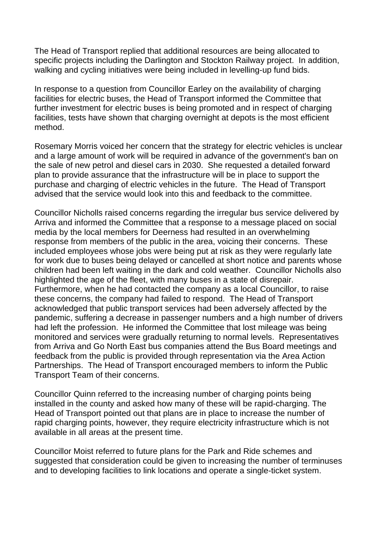The Head of Transport replied that additional resources are being allocated to specific projects including the Darlington and Stockton Railway project. In addition, walking and cycling initiatives were being included in levelling-up fund bids.

In response to a question from Councillor Earley on the availability of charging facilities for electric buses, the Head of Transport informed the Committee that further investment for electric buses is being promoted and in respect of charging facilities, tests have shown that charging overnight at depots is the most efficient method.

Rosemary Morris voiced her concern that the strategy for electric vehicles is unclear and a large amount of work will be required in advance of the government's ban on the sale of new petrol and diesel cars in 2030. She requested a detailed forward plan to provide assurance that the infrastructure will be in place to support the purchase and charging of electric vehicles in the future. The Head of Transport advised that the service would look into this and feedback to the committee.

Councillor Nicholls raised concerns regarding the irregular bus service delivered by Arriva and informed the Committee that a response to a message placed on social media by the local members for Deerness had resulted in an overwhelming response from members of the public in the area, voicing their concerns. These included employees whose jobs were being put at risk as they were regularly late for work due to buses being delayed or cancelled at short notice and parents whose children had been left waiting in the dark and cold weather. Councillor Nicholls also highlighted the age of the fleet, with many buses in a state of disrepair. Furthermore, when he had contacted the company as a local Councillor, to raise these concerns, the company had failed to respond. The Head of Transport acknowledged that public transport services had been adversely affected by the pandemic, suffering a decrease in passenger numbers and a high number of drivers had left the profession. He informed the Committee that lost mileage was being monitored and services were gradually returning to normal levels. Representatives from Arriva and Go North East bus companies attend the Bus Board meetings and feedback from the public is provided through representation via the Area Action Partnerships. The Head of Transport encouraged members to inform the Public Transport Team of their concerns.

Councillor Quinn referred to the increasing number of charging points being installed in the county and asked how many of these will be rapid-charging. The Head of Transport pointed out that plans are in place to increase the number of rapid charging points, however, they require electricity infrastructure which is not available in all areas at the present time.

Councillor Moist referred to future plans for the Park and Ride schemes and suggested that consideration could be given to increasing the number of terminuses and to developing facilities to link locations and operate a single-ticket system.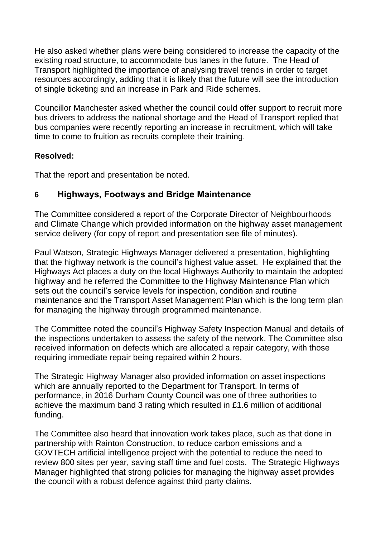He also asked whether plans were being considered to increase the capacity of the existing road structure, to accommodate bus lanes in the future. The Head of Transport highlighted the importance of analysing travel trends in order to target resources accordingly, adding that it is likely that the future will see the introduction of single ticketing and an increase in Park and Ride schemes.

Councillor Manchester asked whether the council could offer support to recruit more bus drivers to address the national shortage and the Head of Transport replied that bus companies were recently reporting an increase in recruitment, which will take time to come to fruition as recruits complete their training.

## **Resolved:**

That the report and presentation be noted.

# **6 Highways, Footways and Bridge Maintenance**

The Committee considered a report of the Corporate Director of Neighbourhoods and Climate Change which provided information on the highway asset management service delivery (for copy of report and presentation see file of minutes).

Paul Watson, Strategic Highways Manager delivered a presentation, highlighting that the highway network is the council's highest value asset. He explained that the Highways Act places a duty on the local Highways Authority to maintain the adopted highway and he referred the Committee to the Highway Maintenance Plan which sets out the council's service levels for inspection, condition and routine maintenance and the Transport Asset Management Plan which is the long term plan for managing the highway through programmed maintenance.

The Committee noted the council's Highway Safety Inspection Manual and details of the inspections undertaken to assess the safety of the network. The Committee also received information on defects which are allocated a repair category, with those requiring immediate repair being repaired within 2 hours.

The Strategic Highway Manager also provided information on asset inspections which are annually reported to the Department for Transport. In terms of performance, in 2016 Durham County Council was one of three authorities to achieve the maximum band 3 rating which resulted in £1.6 million of additional funding.

The Committee also heard that innovation work takes place, such as that done in partnership with Rainton Construction, to reduce carbon emissions and a GOVTECH artificial intelligence project with the potential to reduce the need to review 800 sites per year, saving staff time and fuel costs. The Strategic Highways Manager highlighted that strong policies for managing the highway asset provides the council with a robust defence against third party claims.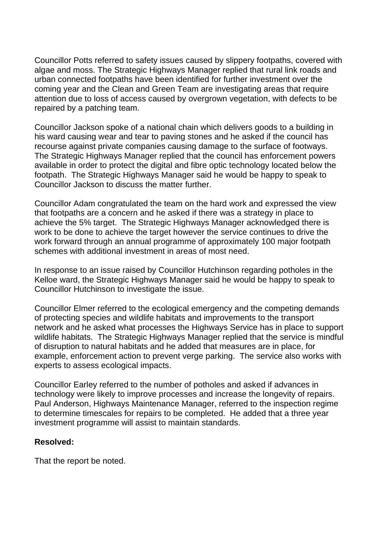Councillor Potts referred to safety issues caused by slippery footpaths, covered with algae and moss. The Strategic Highways Manager replied that rural link roads and urban connected footpaths have been identified for further investment over the coming year and the Clean and Green Team are investigating areas that require attention due to loss of access caused by overgrown vegetation, with defects to be repaired by a patching team.

Councillor Jackson spoke of a national chain which delivers goods to a building in his ward causing wear and tear to paving stones and he asked if the council has recourse against private companies causing damage to the surface of footways. The Strategic Highways Manager replied that the council has enforcement powers available in order to protect the digital and fibre optic technology located below the footpath. The Strategic Highways Manager said he would be happy to speak to Councillor Jackson to discuss the matter further.

Councillor Adam congratulated the team on the hard work and expressed the view that footpaths are a concern and he asked if there was a strategy in place to achieve the 5% target. The Strategic Highways Manager acknowledged there is work to be done to achieve the target however the service continues to drive the work forward through an annual programme of approximately 100 major footpath schemes with additional investment in areas of most need.

In response to an issue raised by Councillor Hutchinson regarding potholes in the Kelloe ward, the Strategic Highways Manager said he would be happy to speak to Councillor Hutchinson to investigate the issue.

Councillor Elmer referred to the ecological emergency and the competing demands of protecting species and wildlife habitats and improvements to the transport network and he asked what processes the Highways Service has in place to support wildlife habitats. The Strategic Highways Manager replied that the service is mindful of disruption to natural habitats and he added that measures are in place, for example, enforcement action to prevent verge parking. The service also works with experts to assess ecological impacts.

Councillor Earley referred to the number of potholes and asked if advances in technology were likely to improve processes and increase the longevity of repairs. Paul Anderson, Highways Maintenance Manager, referred to the inspection regime to determine timescales for repairs to be completed. He added that a three year investment programme will assist to maintain standards.

#### **Resolved:**

That the report be noted.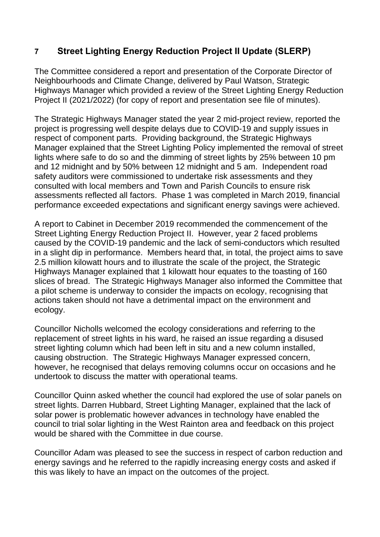# **7 Street Lighting Energy Reduction Project II Update (SLERP)**

The Committee considered a report and presentation of the Corporate Director of Neighbourhoods and Climate Change, delivered by Paul Watson, Strategic Highways Manager which provided a review of the Street Lighting Energy Reduction Project II (2021/2022) (for copy of report and presentation see file of minutes).

The Strategic Highways Manager stated the year 2 mid-project review, reported the project is progressing well despite delays due to COVID-19 and supply issues in respect of component parts. Providing background, the Strategic Highways Manager explained that the Street Lighting Policy implemented the removal of street lights where safe to do so and the dimming of street lights by 25% between 10 pm and 12 midnight and by 50% between 12 midnight and 5 am. Independent road safety auditors were commissioned to undertake risk assessments and they consulted with local members and Town and Parish Councils to ensure risk assessments reflected all factors. Phase 1 was completed in March 2019, financial performance exceeded expectations and significant energy savings were achieved.

A report to Cabinet in December 2019 recommended the commencement of the Street Lighting Energy Reduction Project II. However, year 2 faced problems caused by the COVID-19 pandemic and the lack of semi-conductors which resulted in a slight dip in performance. Members heard that, in total, the project aims to save 2.5 million kilowatt hours and to illustrate the scale of the project, the Strategic Highways Manager explained that 1 kilowatt hour equates to the toasting of 160 slices of bread. The Strategic Highways Manager also informed the Committee that a pilot scheme is underway to consider the impacts on ecology, recognising that actions taken should not have a detrimental impact on the environment and ecology.

Councillor Nicholls welcomed the ecology considerations and referring to the replacement of street lights in his ward, he raised an issue regarding a disused street lighting column which had been left in situ and a new column installed, causing obstruction. The Strategic Highways Manager expressed concern, however, he recognised that delays removing columns occur on occasions and he undertook to discuss the matter with operational teams.

Councillor Quinn asked whether the council had explored the use of solar panels on street lights. Darren Hubbard, Street Lighting Manager, explained that the lack of solar power is problematic however advances in technology have enabled the council to trial solar lighting in the West Rainton area and feedback on this project would be shared with the Committee in due course.

Councillor Adam was pleased to see the success in respect of carbon reduction and energy savings and he referred to the rapidly increasing energy costs and asked if this was likely to have an impact on the outcomes of the project.